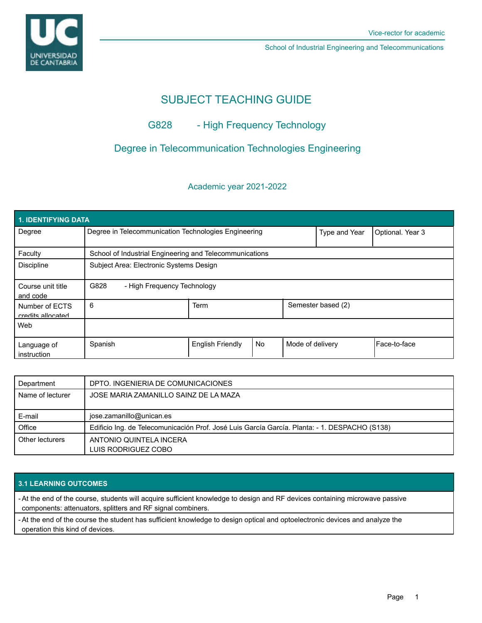# SUBJECT TEACHING GUIDE

## G828 - High Frequency Technology

### Degree in Telecommunication Technologies Engineering

### Academic year 2021-2022

| <b>1. IDENTIFYING DATA</b>          |                                                         |                         |    |                  |                    |              |  |  |  |
|-------------------------------------|---------------------------------------------------------|-------------------------|----|------------------|--------------------|--------------|--|--|--|
| Degree                              | Degree in Telecommunication Technologies Engineering    |                         |    | Type and Year    | Optional. Year 3   |              |  |  |  |
| Faculty                             | School of Industrial Engineering and Telecommunications |                         |    |                  |                    |              |  |  |  |
| <b>Discipline</b>                   | Subject Area: Electronic Systems Design                 |                         |    |                  |                    |              |  |  |  |
| Course unit title<br>and code       | G828<br>- High Frequency Technology                     |                         |    |                  |                    |              |  |  |  |
| Number of ECTS<br>credits allocated | 6                                                       | <b>Term</b>             |    |                  | Semester based (2) |              |  |  |  |
| Web                                 |                                                         |                         |    |                  |                    |              |  |  |  |
| Language of<br>instruction          | Spanish                                                 | <b>English Friendly</b> | No | Mode of delivery |                    | Face-to-face |  |  |  |

| Department       | DPTO. INGENIERIA DE COMUNICACIONES                                                            |
|------------------|-----------------------------------------------------------------------------------------------|
| Name of lecturer | JOSE MARIA ZAMANILLO SAINZ DE LA MAZA                                                         |
| E-mail           | jose.zamanillo@unican.es                                                                      |
| Office           | Edificio Ing. de Telecomunicación Prof. José Luis García García. Planta: - 1. DESPACHO (S138) |
| Other lecturers  | ANTONIO QUINTELA INCERA<br>LUIS RODRIGUEZ COBO                                                |

### **3.1 LEARNING OUTCOMES**

- At the end of the course, students will acquire sufficient knowledge to design and RF devices containing microwave passive components: attenuators, splitters and RF signal combiners.

- At the end of the course the student has sufficient knowledge to design optical and optoelectronic devices and analyze the operation this kind of devices.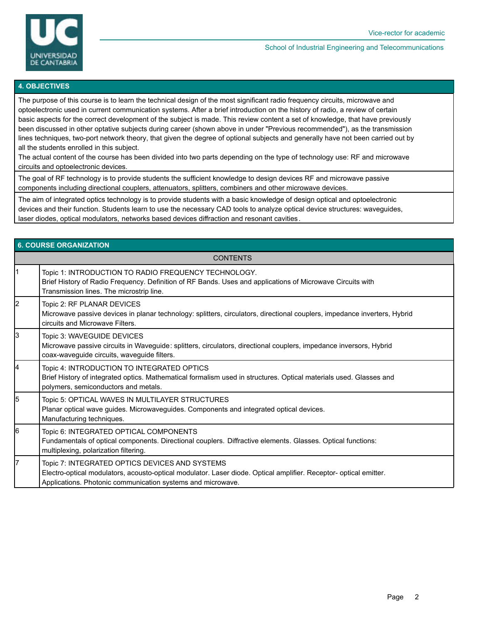

### **4. OBJECTIVES**

The purpose of this course is to learn the technical design of the most significant radio frequency circuits, microwave and optoelectronic used in current communication systems. After a brief introduction on the history of radio, a review of certain basic aspects for the correct development of the subject is made. This review content a set of knowledge, that have previously been discussed in other optative subjects during career (shown above in under "Previous recommended"), as the transmission lines techniques, two-port network theory, that given the degree of optional subjects and generally have not been carried out by all the students enrolled in this subject.

The actual content of the course has been divided into two parts depending on the type of technology use: RF and microwave circuits and optoelectronic devices.

The goal of RF technology is to provide students the sufficient knowledge to design devices RF and microwave passive components including directional couplers, attenuators, splitters, combiners and other microwave devices.

The aim of integrated optics technology is to provide students with a basic knowledge of design optical and optoelectronic devices and their function. Students learn to use the necessary CAD tools to analyze optical device structures: waveguides, laser diodes, optical modulators, networks based devices diffraction and resonant cavities.

## **6. COURSE ORGANIZATION CONTENTS** 1 Topic 1: INTRODUCTION TO RADIO FREQUENCY TECHNOLOGY. Brief History of Radio Frequency. Definition of RF Bands. Uses and applications of Microwave Circuits with Transmission lines. The microstrip line. 2 | Topic 2: RF PLANAR DEVICES Microwave passive devices in planar technology: splitters, circulators, directional couplers, impedance inverters, Hybrid circuits and Microwave Filters. 3 Topic 3: WAVEGUIDE DEVICES Microwave passive circuits in Waveguide: splitters, circulators, directional couplers, impedance inversors, Hybrid coax-waveguide circuits, waveguide filters. Topic 4: INTRODUCTION TO INTEGRATED OPTICS Brief History of integrated optics. Mathematical formalism used in structures. Optical materials used. Glasses and polymers, semiconductors and metals. 5 Topic 5: OPTICAL WAVES IN MULTILAYER STRUCTURES Planar optical wave guides. Microwaveguides. Components and integrated optical devices. Manufacturing techniques. 6 | Topic 6: INTEGRATED OPTICAL COMPONENTS Fundamentals of optical components. Directional couplers. Diffractive elements. Glasses. Optical functions: multiplexing, polarization filtering. Topic 7: INTEGRATED OPTICS DEVICES AND SYSTEMS Electro-optical modulators, acousto-optical modulator. Laser diode. Optical amplifier. Receptor- optical emitter. Applications. Photonic communication systems and microwave.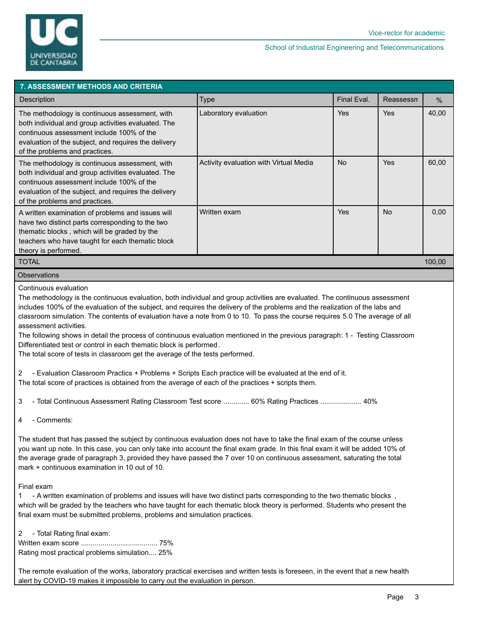

| <b>7. ASSESSMENT METHODS AND CRITERIA</b>                                                                                                                                                                                                    |                                        |             |           |       |  |  |  |  |
|----------------------------------------------------------------------------------------------------------------------------------------------------------------------------------------------------------------------------------------------|----------------------------------------|-------------|-----------|-------|--|--|--|--|
| Description                                                                                                                                                                                                                                  | Type                                   | Final Eval. | Reassessn | $\%$  |  |  |  |  |
| The methodology is continuous assessment, with<br>both individual and group activities evaluated. The<br>continuous assessment include 100% of the<br>evaluation of the subject, and requires the delivery<br>of the problems and practices. | Laboratory evaluation                  | <b>Yes</b>  | Yes       | 40,00 |  |  |  |  |
| The methodology is continuous assessment, with<br>both individual and group activities evaluated. The<br>continuous assessment include 100% of the<br>evaluation of the subject, and requires the delivery<br>of the problems and practices. | Activity evaluation with Virtual Media | <b>No</b>   | Yes       | 60,00 |  |  |  |  |
| A written examination of problems and issues will<br>have two distinct parts corresponding to the two<br>thematic blocks, which will be graded by the<br>teachers who have taught for each thematic block<br>theory is performed.            | Written exam                           | Yes         | <b>No</b> | 0,00  |  |  |  |  |
| <b>TOTAL</b><br>100,00                                                                                                                                                                                                                       |                                        |             |           |       |  |  |  |  |
| <b>Observations</b>                                                                                                                                                                                                                          |                                        |             |           |       |  |  |  |  |

Continuous evaluation

The methodology is the continuous evaluation, both individual and group activities are evaluated. The continuous assessment includes 100% of the evaluation of the subject, and requires the delivery of the problems and the realization of the labs and classroom simulation. The contents of evaluation have a note from 0 to 10. To pass the course requires 5.0 The average of all assessment activities.

The following shows in detail the process of continuous evaluation mentioned in the previous paragraph: 1 - Testing Classroom Differentiated test or control in each thematic block is performed.

The total score of tests in classroom get the average of the tests performed.

2 - Evaluation Classroom Practics + Problems + Scripts Each practice will be evaluated at the end of it. The total score of practices is obtained from the average of each of the practices + scripts them.

3 - Total Continuous Assessment Rating Classroom Test score ............. 60% Rating Practices ..................... 40%

4 - Comments:

The student that has passed the subject by continuous evaluation does not have to take the final exam of the course unless you want up note. In this case, you can only take into account the final exam grade. In this final exam it will be added 10% of the average grade of paragraph 3, provided they have passed the 7 over 10 on continuous assessment, saturating the total mark + continuous examination in 10 out of 10.

### Final exam

1 - A written examination of problems and issues will have two distinct parts corresponding to the two thematic blocks , which will be graded by the teachers who have taught for each thematic block theory is performed. Students who present the final exam must be submitted problems, problems and simulation practices.

2 - Total Rating final exam:

Written exam score ....................................... 75% Rating most practical problems simulation.... 25%

The remote evaluation of the works, laboratory practical exercises and written tests is foreseen, in the event that a new health alert by COVID-19 makes it impossible to carry out the evaluation in person.